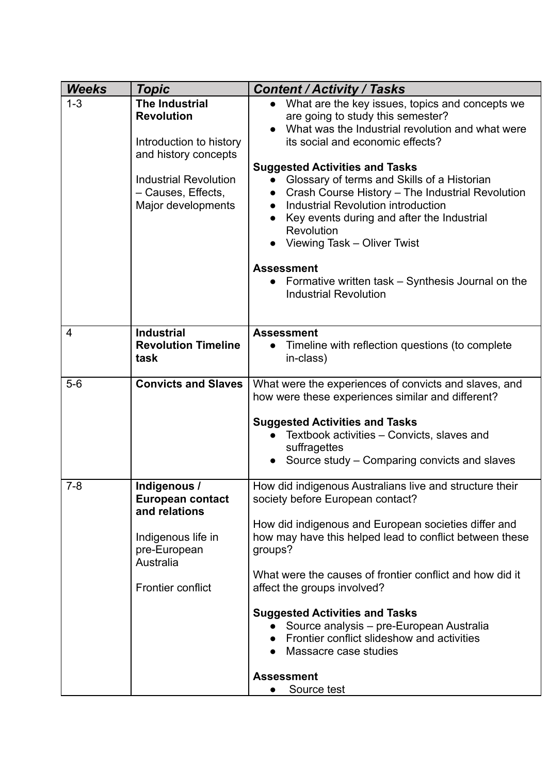| <b>Weeks</b>   | Topic                                                                                                                                                                     | <b>Content / Activity / Tasks</b>                                                                                                                                                                                                                                                                                                                                                                                                                                                                                                                             |
|----------------|---------------------------------------------------------------------------------------------------------------------------------------------------------------------------|---------------------------------------------------------------------------------------------------------------------------------------------------------------------------------------------------------------------------------------------------------------------------------------------------------------------------------------------------------------------------------------------------------------------------------------------------------------------------------------------------------------------------------------------------------------|
| $1 - 3$        | <b>The Industrial</b><br><b>Revolution</b><br>Introduction to history<br>and history concepts<br><b>Industrial Revolution</b><br>- Causes, Effects,<br>Major developments | What are the key issues, topics and concepts we<br>$\bullet$<br>are going to study this semester?<br>What was the Industrial revolution and what were<br>its social and economic effects?<br><b>Suggested Activities and Tasks</b><br>Glossary of terms and Skills of a Historian<br>$\bullet$<br>Crash Course History - The Industrial Revolution<br>Industrial Revolution introduction<br>Key events during and after the Industrial<br>Revolution<br>Viewing Task - Oliver Twist<br><b>Assessment</b><br>Formative written task – Synthesis Journal on the |
|                |                                                                                                                                                                           | <b>Industrial Revolution</b>                                                                                                                                                                                                                                                                                                                                                                                                                                                                                                                                  |
| $\overline{4}$ | <b>Industrial</b><br><b>Revolution Timeline</b><br>task                                                                                                                   | <b>Assessment</b><br>Timeline with reflection questions (to complete<br>in-class)                                                                                                                                                                                                                                                                                                                                                                                                                                                                             |
| $5-6$          | <b>Convicts and Slaves</b>                                                                                                                                                | What were the experiences of convicts and slaves, and<br>how were these experiences similar and different?<br><b>Suggested Activities and Tasks</b><br>Textbook activities – Convicts, slaves and<br>suffragettes<br>Source study – Comparing convicts and slaves                                                                                                                                                                                                                                                                                             |
| $7 - 8$        | Indigenous /<br><b>European contact</b><br>and relations<br>Indigenous life in<br>pre-European<br>Australia<br>Frontier conflict                                          | How did indigenous Australians live and structure their<br>society before European contact?<br>How did indigenous and European societies differ and<br>how may have this helped lead to conflict between these<br>groups?<br>What were the causes of frontier conflict and how did it<br>affect the groups involved?<br><b>Suggested Activities and Tasks</b><br>Source analysis – pre-European Australia<br>Frontier conflict slideshow and activities<br>Massacre case studies<br><b>Assessment</b><br>Source test                                          |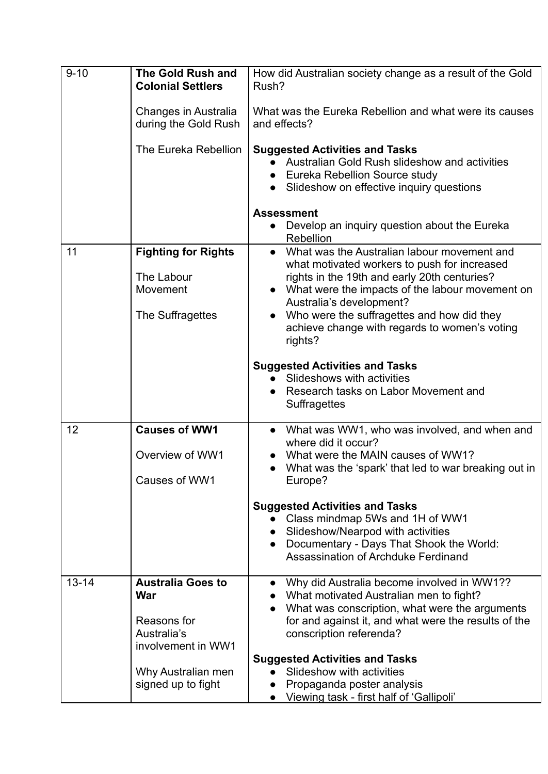| $9 - 10$  | <b>The Gold Rush and</b><br><b>Colonial Settlers</b> | How did Australian society change as a result of the Gold<br>Rush?                                                                                                                                                                                                   |
|-----------|------------------------------------------------------|----------------------------------------------------------------------------------------------------------------------------------------------------------------------------------------------------------------------------------------------------------------------|
|           | Changes in Australia<br>during the Gold Rush         | What was the Eureka Rebellion and what were its causes<br>and effects?                                                                                                                                                                                               |
|           | The Eureka Rebellion                                 | <b>Suggested Activities and Tasks</b><br>Australian Gold Rush slideshow and activities<br>Eureka Rebellion Source study<br>Slideshow on effective inquiry questions<br>$\bullet$<br><b>Assessment</b><br>• Develop an inquiry question about the Eureka<br>Rebellion |
| 11        | <b>Fighting for Rights</b>                           | What was the Australian labour movement and<br>$\bullet$                                                                                                                                                                                                             |
|           | The Labour<br>Movement                               | what motivated workers to push for increased<br>rights in the 19th and early 20th centuries?<br>What were the impacts of the labour movement on<br>Australia's development?                                                                                          |
|           | The Suffragettes                                     | Who were the suffragettes and how did they<br>achieve change with regards to women's voting<br>rights?                                                                                                                                                               |
|           |                                                      | <b>Suggested Activities and Tasks</b>                                                                                                                                                                                                                                |
|           |                                                      | Slideshows with activities<br>Research tasks on Labor Movement and<br><b>Suffragettes</b>                                                                                                                                                                            |
| 12        | <b>Causes of WW1</b>                                 | • What was WW1, who was involved, and when and<br>where did it occur?                                                                                                                                                                                                |
|           | Overview of WW1                                      | What were the MAIN causes of WW1?                                                                                                                                                                                                                                    |
|           | Causes of WW1                                        | What was the 'spark' that led to war breaking out in<br>Europe?                                                                                                                                                                                                      |
|           |                                                      | <b>Suggested Activities and Tasks</b><br>Class mindmap 5Ws and 1H of WW1<br>Slideshow/Nearpod with activities<br>Documentary - Days That Shook the World:<br>Assassination of Archduke Ferdinand                                                                     |
| $13 - 14$ | <b>Australia Goes to</b><br>War                      | Why did Australia become involved in WW1??<br>What motivated Australian men to fight?                                                                                                                                                                                |
|           | Reasons for<br>Australia's<br>involvement in WW1     | What was conscription, what were the arguments<br>for and against it, and what were the results of the<br>conscription referenda?                                                                                                                                    |
|           |                                                      | <b>Suggested Activities and Tasks</b>                                                                                                                                                                                                                                |
|           | Why Australian men<br>signed up to fight             | Slideshow with activities<br>Propaganda poster analysis<br>Viewing task - first half of 'Gallipoli'                                                                                                                                                                  |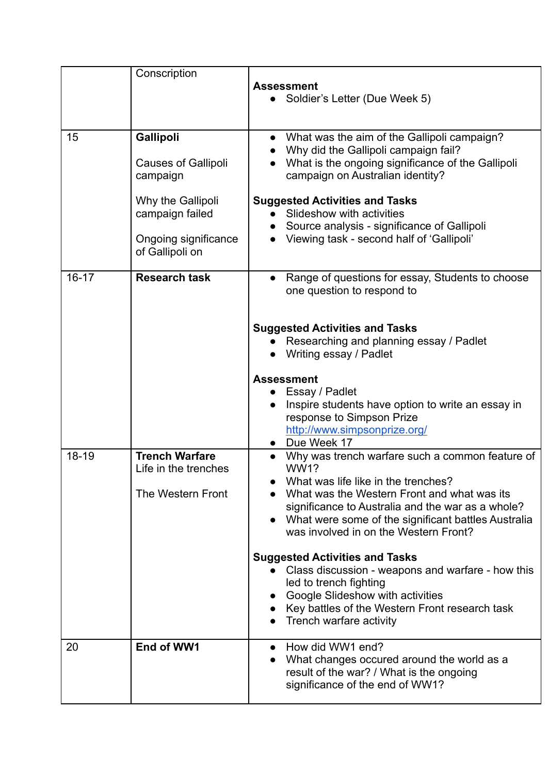|           | Conscription                                                                                                                           | <b>Assessment</b><br>Soldier's Letter (Due Week 5)                                                                                                                                                                                                                                                                                                                                                                                |
|-----------|----------------------------------------------------------------------------------------------------------------------------------------|-----------------------------------------------------------------------------------------------------------------------------------------------------------------------------------------------------------------------------------------------------------------------------------------------------------------------------------------------------------------------------------------------------------------------------------|
| 15        | Gallipoli<br><b>Causes of Gallipoli</b><br>campaign<br>Why the Gallipoli<br>campaign failed<br>Ongoing significance<br>of Gallipoli on | What was the aim of the Gallipoli campaign?<br>Why did the Gallipoli campaign fail?<br>What is the ongoing significance of the Gallipoli<br>campaign on Australian identity?<br><b>Suggested Activities and Tasks</b><br>Slideshow with activities<br>Source analysis - significance of Gallipoli<br>Viewing task - second half of 'Gallipoli'                                                                                    |
| $16 - 17$ | <b>Research task</b>                                                                                                                   | Range of questions for essay, Students to choose<br>$\bullet$<br>one question to respond to<br><b>Suggested Activities and Tasks</b><br>Researching and planning essay / Padlet<br>Writing essay / Padlet                                                                                                                                                                                                                         |
|           |                                                                                                                                        | <b>Assessment</b><br>Essay / Padlet<br>Inspire students have option to write an essay in<br>response to Simpson Prize<br>http://www.simpsonprize.org/<br>Due Week 17                                                                                                                                                                                                                                                              |
| 18-19     | <b>Trench Warfare</b><br>Life in the trenches<br>The Western Front                                                                     | Why was trench warfare such a common feature of<br><b>WW1?</b><br>What was life like in the trenches?<br>What was the Western Front and what was its<br>significance to Australia and the war as a whole?<br>What were some of the significant battles Australia<br>was involved in on the Western Front?<br><b>Suggested Activities and Tasks</b><br>Class discussion - weapons and warfare - how this<br>led to trench fighting |
|           |                                                                                                                                        | Google Slideshow with activities<br>Key battles of the Western Front research task<br>Trench warfare activity                                                                                                                                                                                                                                                                                                                     |
| 20        | End of WW1                                                                                                                             | How did WW1 end?<br>What changes occured around the world as a<br>result of the war? / What is the ongoing<br>significance of the end of WW1?                                                                                                                                                                                                                                                                                     |